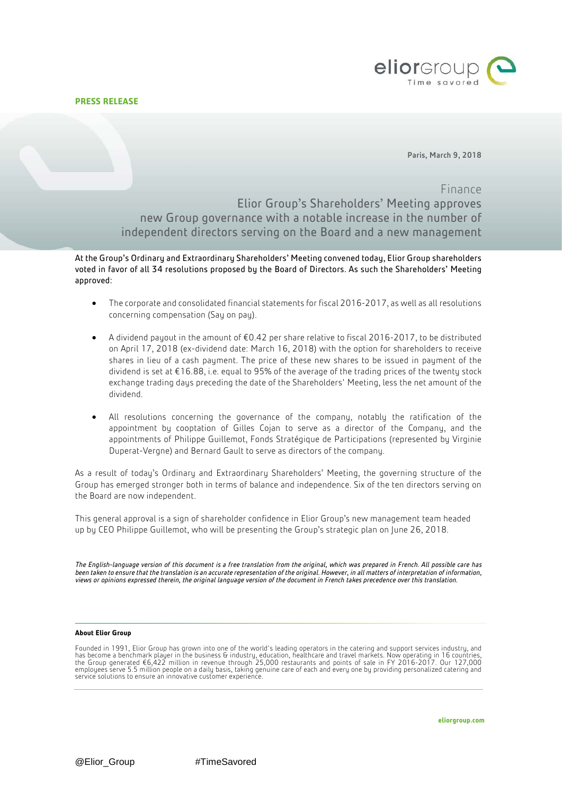

Paris, March 9, 2018

## Finance

Elior Group's Shareholders' Meeting approves new Group governance with a notable increase in the number of independent directors serving on the Board and a new management

At the Group's Ordinary and Extraordinary Shareholders' Meeting convened today, Elior Group shareholders voted in favor of all 34 resolutions proposed by the Board of Directors. As such the Shareholders' Meeting approved:

- The corporate and consolidated financial statements for fiscal 2016-2017, as well as all resolutions concerning compensation (Say on pay).
- A dividend payout in the amount of €0.42 per share relative to fiscal 2016-2017, to be distributed on April 17, 2018 (ex-dividend date: March 16, 2018) with the option for shareholders to receive shares in lieu of a cash payment. The price of these new shares to be issued in payment of the dividend is set at €16.88, i.e. equal to 95% of the average of the trading prices of the twenty stock exchange trading days preceding the date of the Shareholders' Meeting, less the net amount of the dividend.
- All resolutions concerning the governance of the company, notably the ratification of the appointment by cooptation of Gilles Cojan to serve as a director of the Company, and the appointments of Philippe Guillemot, Fonds Stratégique de Participations (represented by Virginie Duperat-Vergne) and Bernard Gault to serve as directors of the company.

As a result of today's Ordinary and Extraordinary Shareholders' Meeting, the governing structure of the Group has emerged stronger both in terms of balance and independence. Six of the ten directors serving on the Board are now independent.

This general approval is a sign of shareholder confidence in Elior Group's new management team headed up by CEO Philippe Guillemot, who will be presenting the Group's strategic plan on June 26, 2018.

*The English-language version of this document is a free translation from the original, which was prepared in French. All possible care has been taken to ensure that the translation is an accurate representation of the original. However, in all matters of interpretation of information, views or opinions expressed therein, the original language version of the document in French takes precedence over this translation.*

## **About Elior Group**

Founded in 1991, Elior Group has grown into one of the world's leading operators in the catering and support services industry, and<br>has become a benchmark player in the business & industry, education, healthcare and trave service solutions to ensure an innovative customer experience.